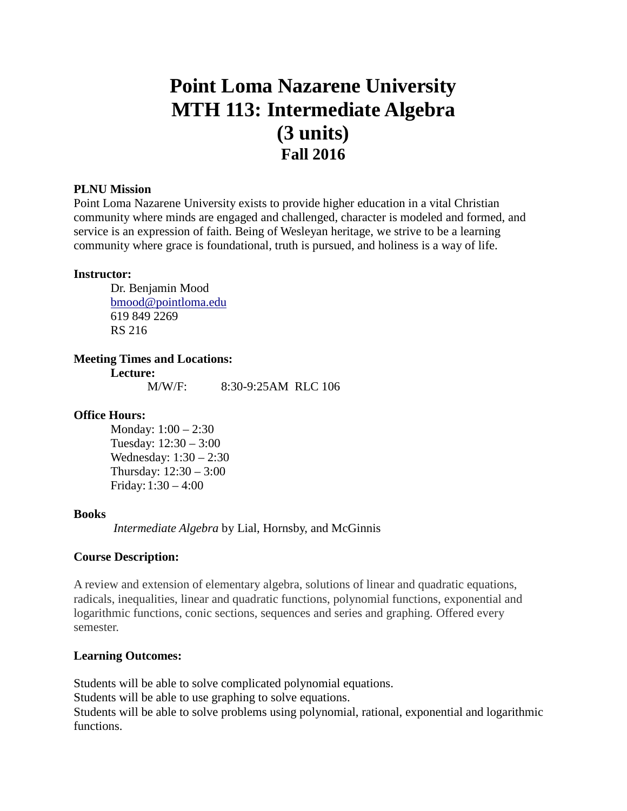# **Point Loma Nazarene University MTH 113: Intermediate Algebra (3 units) Fall 2016**

# **PLNU Mission**

Point Loma Nazarene University exists to provide higher education in a vital Christian community where minds are engaged and challenged, character is modeled and formed, and service is an expression of faith. Being of Wesleyan heritage, we strive to be a learning community where grace is foundational, truth is pursued, and holiness is a way of life.

#### **Instructor:**

Dr. Benjamin Mood [bmood@pointloma.edu](mailto:bmood@pointloma.edu) 619 849 2269 RS 216

# **Meeting Times and Locations:**

**Lecture:** M/W/F: 8:30-9:25AM RLC 106

# **Office Hours:**

Monday: 1:00 – 2:30 Tuesday: 12:30 – 3:00 Wednesday: 1:30 – 2:30 Thursday: 12:30 – 3:00 Friday:1:30 – 4:00

#### **Books**

*Intermediate Algebra* by Lial, Hornsby, and McGinnis

# **Course Description:**

A review and extension of elementary algebra, solutions of linear and quadratic equations, radicals, inequalities, linear and quadratic functions, polynomial functions, exponential and logarithmic functions, conic sections, sequences and series and graphing. Offered every semester.

# **Learning Outcomes:**

Students will be able to solve complicated polynomial equations. Students will be able to use graphing to solve equations. Students will be able to solve problems using polynomial, rational, exponential and logarithmic functions.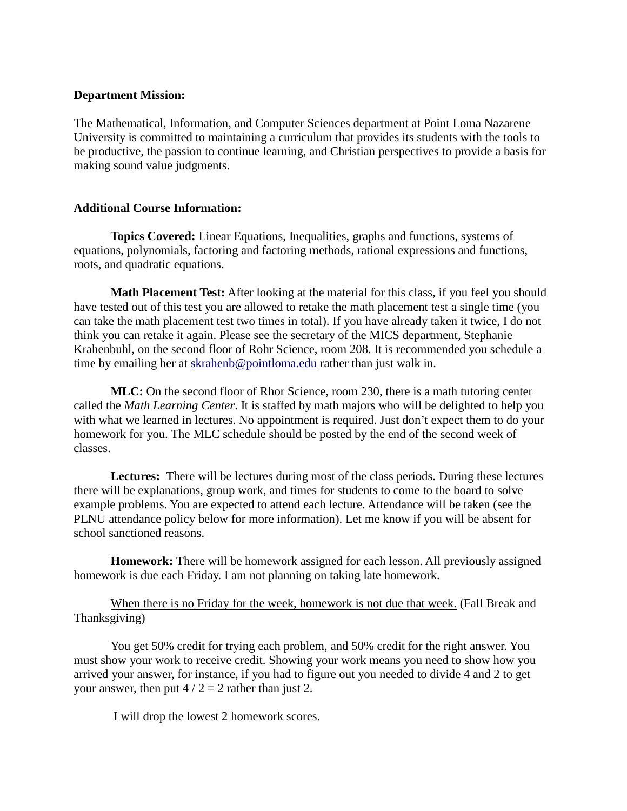# **Department Mission:**

The Mathematical, Information, and Computer Sciences department at Point Loma Nazarene University is committed to maintaining a curriculum that provides its students with the tools to be productive, the passion to continue learning, and Christian perspectives to provide a basis for making sound value judgments.

# **Additional Course Information:**

**Topics Covered:** Linear Equations, Inequalities, graphs and functions, systems of equations, polynomials, factoring and factoring methods, rational expressions and functions, roots, and quadratic equations.

**Math Placement Test:** After looking at the material for this class, if you feel you should have tested out of this test you are allowed to retake the math placement test a single time (you can take the math placement test two times in total). If you have already taken it twice, I do not think you can retake it again. Please see the secretary of the MICS department*,* Stephanie Krahenbuhl*,* on the second floor of Rohr Science, room 208. It is recommended you schedule a time by emailing her at [skrahenb@pointloma.edu](mailto:stephaniekrahenbuhl@pointloma.edu) rather than just walk in.

**MLC:** On the second floor of Rhor Science, room 230, there is a math tutoring center called the *Math Learning Center*. It is staffed by math majors who will be delighted to help you with what we learned in lectures. No appointment is required. Just don't expect them to do your homework for you. The MLC schedule should be posted by the end of the second week of classes.

**Lectures:** There will be lectures during most of the class periods. During these lectures there will be explanations, group work, and times for students to come to the board to solve example problems. You are expected to attend each lecture. Attendance will be taken (see the PLNU attendance policy below for more information). Let me know if you will be absent for school sanctioned reasons.

**Homework:** There will be homework assigned for each lesson. All previously assigned homework is due each Friday. I am not planning on taking late homework.

When there is no Friday for the week, homework is not due that week. (Fall Break and Thanksgiving)

You get 50% credit for trying each problem, and 50% credit for the right answer. You must show your work to receive credit. Showing your work means you need to show how you arrived your answer, for instance, if you had to figure out you needed to divide 4 and 2 to get your answer, then put  $4/2 = 2$  rather than just 2.

I will drop the lowest 2 homework scores.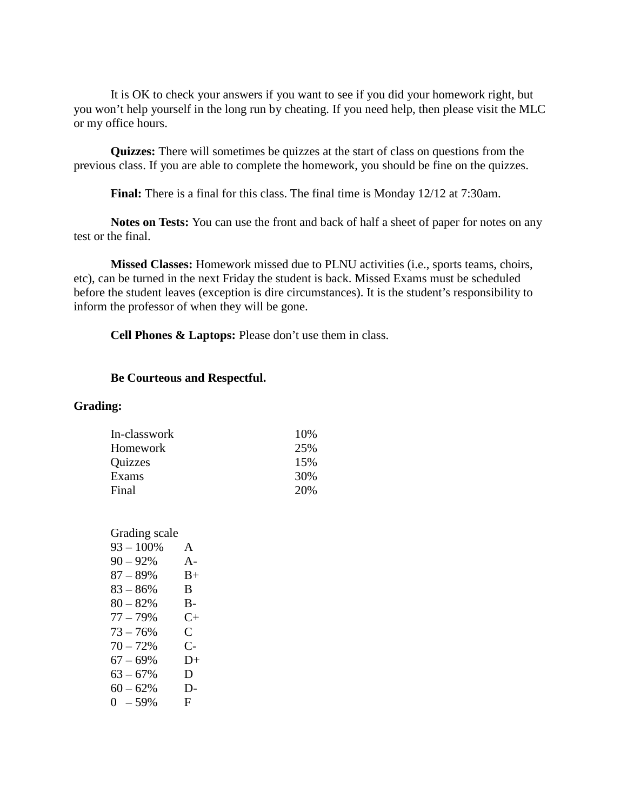It is OK to check your answers if you want to see if you did your homework right, but you won't help yourself in the long run by cheating. If you need help, then please visit the MLC or my office hours.

**Quizzes:** There will sometimes be quizzes at the start of class on questions from the previous class. If you are able to complete the homework, you should be fine on the quizzes.

**Final:** There is a final for this class. The final time is Monday 12/12 at 7:30am.

**Notes on Tests:** You can use the front and back of half a sheet of paper for notes on any test or the final.

**Missed Classes:** Homework missed due to PLNU activities (i.e., sports teams, choirs, etc), can be turned in the next Friday the student is back. Missed Exams must be scheduled before the student leaves (exception is dire circumstances). It is the student's responsibility to inform the professor of when they will be gone.

**Cell Phones & Laptops:** Please don't use them in class.

# **Be Courteous and Respectful.**

#### **Grading:**

| In-classwork | 10% |
|--------------|-----|
| Homework     | 25% |
| Quizzes      | 15% |
| Exams        | 30% |
| Final        | 20% |

| Grading scale |           |
|---------------|-----------|
| $93 - 100\%$  | A         |
| $90 - 92\%$   | $A -$     |
| $87 - 89%$    | $B+$      |
| $83 - 86%$    | B.        |
| $80 - 82%$    | В-        |
| $77 - 79%$    | $C_{\pm}$ |
| $73 - 76%$    | C         |
| $70 - 72%$    | C-        |
| $67 - 69%$    | $D+$      |
| $63 - 67\%$   | D         |
| $60 - 62%$    | D-        |
| $0 - 59\%$    | F         |
|               |           |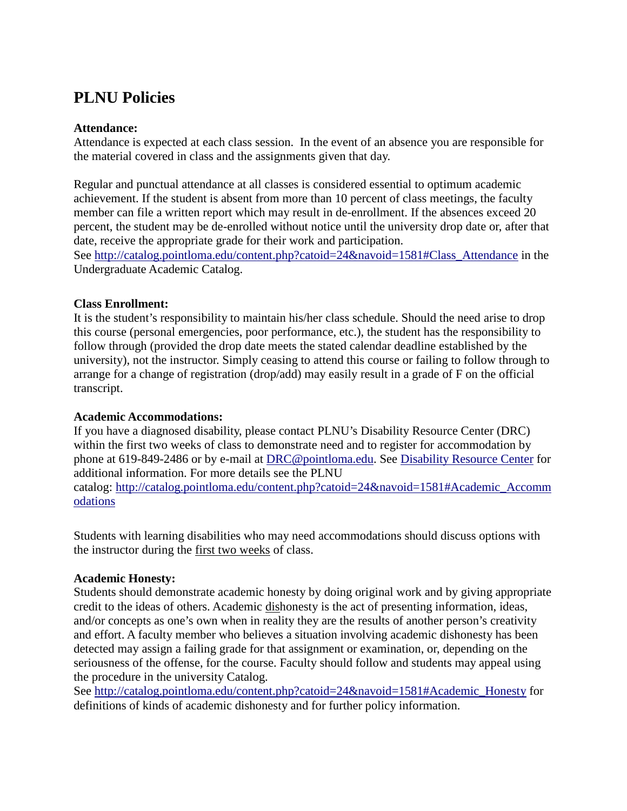# **PLNU Policies**

# **Attendance:**

Attendance is expected at each class session. In the event of an absence you are responsible for the material covered in class and the assignments given that day.

Regular and punctual attendance at all classes is considered essential to optimum academic achievement. If the student is absent from more than 10 percent of class meetings, the faculty member can file a written report which may result in de-enrollment. If the absences exceed 20 percent, the student may be de-enrolled without notice until the university drop date or, after that date, receive the appropriate grade for their work and participation.

See [http://catalog.pointloma.edu/content.php?catoid=24&navoid=1581#Class\\_Attendance](http://catalog.pointloma.edu/content.php?catoid=24&navoid=1581#Class_Attendance) in the Undergraduate Academic Catalog.

# **Class Enrollment:**

It is the student's responsibility to maintain his/her class schedule. Should the need arise to drop this course (personal emergencies, poor performance, etc.), the student has the responsibility to follow through (provided the drop date meets the stated calendar deadline established by the university), not the instructor. Simply ceasing to attend this course or failing to follow through to arrange for a change of registration (drop/add) may easily result in a grade of F on the official transcript.

# **Academic Accommodations:**

If you have a diagnosed disability, please contact PLNU's Disability Resource Center (DRC) within the first two weeks of class to demonstrate need and to register for accommodation by phone at 619-849-2486 or by e-mail at [DRC@pointloma.edu.](mailto:DRC@pointloma.edu) See [Disability Resource Center](http://www.pointloma.edu/experience/offices/administrative-offices/academic-advising-office/disability-resource-center) for additional information. For more details see the PLNU catalog: [http://catalog.pointloma.edu/content.php?catoid=24&navoid=1581#Academic\\_Accomm](http://catalog.pointloma.edu/content.php?catoid=24&navoid=1581#Academic_Accommodations) [odations](http://catalog.pointloma.edu/content.php?catoid=24&navoid=1581#Academic_Accommodations) 

Students with learning disabilities who may need accommodations should discuss options with the instructor during the first two weeks of class.

# **Academic Honesty:**

Students should demonstrate academic honesty by doing original work and by giving appropriate credit to the ideas of others. Academic dishonesty is the act of presenting information, ideas, and/or concepts as one's own when in reality they are the results of another person's creativity and effort. A faculty member who believes a situation involving academic dishonesty has been detected may assign a failing grade for that assignment or examination, or, depending on the seriousness of the offense, for the course. Faculty should follow and students may appeal using the procedure in the university Catalog.

See [http://catalog.pointloma.edu/content.php?catoid=24&navoid=1581#Academic\\_Honesty](http://catalog.pointloma.edu/content.php?catoid=24&navoid=1581#Academic_Honesty) for definitions of kinds of academic dishonesty and for further policy information.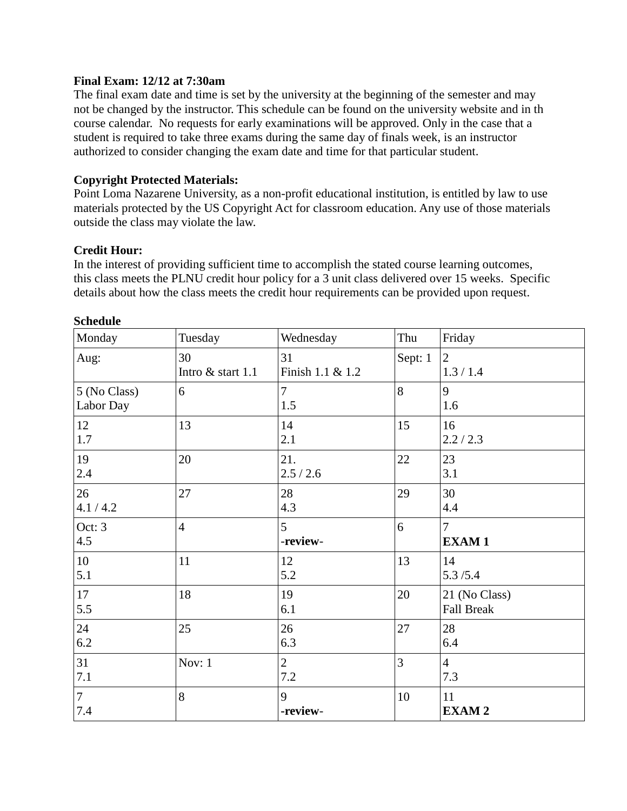# **Final Exam: 12/12 at 7:30am**

The final exam date and time is set by the university at the beginning of the semester and may not be changed by the instructor. This schedule can be found on the university website and in th course calendar. No requests for early examinations will be approved. Only in the case that a student is required to take three exams during the same day of finals week, is an instructor authorized to consider changing the exam date and time for that particular student.

# **Copyright Protected Materials:**

Point Loma Nazarene University, as a non-profit educational institution, is entitled by law to use materials protected by the US Copyright Act for classroom education. Any use of those materials outside the class may violate the law.

# **Credit Hour:**

In the interest of providing sufficient time to accomplish the stated course learning outcomes, this class meets the PLNU credit hour policy for a 3 unit class delivered over 15 weeks. Specific details about how the class meets the credit hour requirements can be provided upon request.

| Monday                    | Tuesday                 | Wednesday              | Thu            | Friday                             |
|---------------------------|-------------------------|------------------------|----------------|------------------------------------|
| Aug:                      | 30<br>Intro & start 1.1 | 31<br>Finish 1.1 & 1.2 | Sept: 1        | 2<br>1.3 / 1.4                     |
| 5 (No Class)<br>Labor Day | 6                       | $\overline{7}$<br>1.5  | 8              | 9<br>1.6                           |
| 12<br>1.7                 | 13                      | 14<br>2.1              | 15             | 16<br>2.2 / 2.3                    |
| 19<br>2.4                 | 20                      | 21.<br>2.5 / 2.6       | 22             | 23<br>3.1                          |
| 26<br>4.1 / 4.2           | 27                      | 28<br>4.3              | 29             | 30<br>4.4                          |
| Oct: 3<br>4.5             | $\overline{4}$          | 5<br>-review-          | 6              | $\overline{7}$<br><b>EXAM1</b>     |
| $10\,$<br>5.1             | 11                      | 12<br>5.2              | 13             | 14<br>5.3/5.4                      |
| 17<br>5.5                 | 18                      | 19<br>6.1              | 20             | 21 (No Class)<br><b>Fall Break</b> |
| 24<br>6.2                 | 25                      | 26<br>6.3              | 27             | 28<br>6.4                          |
| 31<br>7.1                 | Nov: 1                  | $\overline{2}$<br>7.2  | $\overline{3}$ | $\overline{4}$<br>7.3              |
| $\overline{7}$<br>$7.4\,$ | 8                       | 9<br>-review-          | 10             | 11<br><b>EXAM2</b>                 |

# **Schedule**